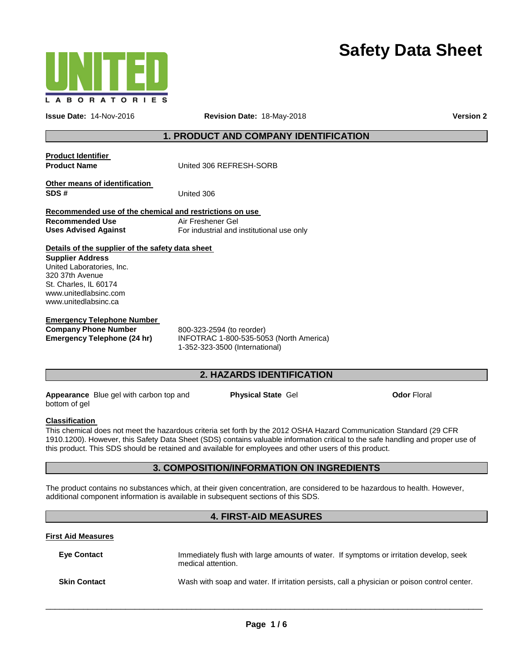



**Issue Date:** 14-Nov-2016 **Revision Date:** 18-May-2018 **Version 2**

# **1. PRODUCT AND COMPANY IDENTIFICATION**

| <b>Product Identifier</b><br><b>Product Name</b>                                                                                                                                                                                                                                                                | United 306 REFRESH-SORB                                                                                                                                                                                                                                                                                                                                          |  |  |  |
|-----------------------------------------------------------------------------------------------------------------------------------------------------------------------------------------------------------------------------------------------------------------------------------------------------------------|------------------------------------------------------------------------------------------------------------------------------------------------------------------------------------------------------------------------------------------------------------------------------------------------------------------------------------------------------------------|--|--|--|
| Other means of identification<br>SDS#                                                                                                                                                                                                                                                                           | United 306                                                                                                                                                                                                                                                                                                                                                       |  |  |  |
| Recommended use of the chemical and restrictions on use<br><b>Recommended Use</b><br><b>Uses Advised Against</b>                                                                                                                                                                                                | Air Freshener Gel<br>For industrial and institutional use only                                                                                                                                                                                                                                                                                                   |  |  |  |
| Details of the supplier of the safety data sheet<br><b>Supplier Address</b><br>United Laboratories, Inc.<br>320 37th Avenue<br>St. Charles, IL 60174<br>www.unitedlabsinc.com<br>www.unitedlabsinc.ca<br><b>Emergency Telephone Number</b><br><b>Company Phone Number</b><br><b>Emergency Telephone (24 hr)</b> | 800-323-2594 (to reorder)<br>INFOTRAC 1-800-535-5053 (North America)<br>1-352-323-3500 (International)                                                                                                                                                                                                                                                           |  |  |  |
|                                                                                                                                                                                                                                                                                                                 | <b>2. HAZARDS IDENTIFICATION</b>                                                                                                                                                                                                                                                                                                                                 |  |  |  |
| <b>Odor Floral</b><br>Appearance Blue gel with carbon top and<br><b>Physical State Gel</b><br>bottom of gel                                                                                                                                                                                                     |                                                                                                                                                                                                                                                                                                                                                                  |  |  |  |
| <b>Classification</b>                                                                                                                                                                                                                                                                                           | This chemical does not meet the hazardous criteria set forth by the 2012 OSHA Hazard Communication Standard (29 CFR<br>1910.1200). However, this Safety Data Sheet (SDS) contains valuable information critical to the safe handling and proper use of<br>this product. This SDS should be retained and available for employees and other users of this product. |  |  |  |
|                                                                                                                                                                                                                                                                                                                 | <b>3. COMPOSITION/INFORMATION ON INGREDIENTS</b>                                                                                                                                                                                                                                                                                                                 |  |  |  |

The product contains no substances which, at their given concentration, are considered to be hazardous to health. However, additional component information is available in subsequent sections of this SDS.

## **4. FIRST-AID MEASURES**

### **First Aid Measures**

| <b>Eve Contact</b>  | Immediately flush with large amounts of water. If symptoms or irritation develop, seek<br>medical attention. |  |
|---------------------|--------------------------------------------------------------------------------------------------------------|--|
| <b>Skin Contact</b> | Wash with soap and water. If irritation persists, call a physician or poison control center.                 |  |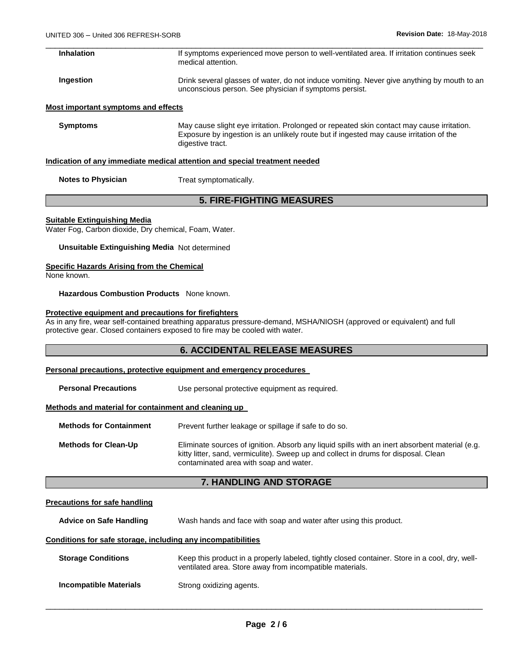| Inhalation | If symptoms experienced move person to well-ventilated area. If irritation continues seek<br>medical attention. |
|------------|-----------------------------------------------------------------------------------------------------------------|

**Ingestion Instead in Section** Drink several glasses of water, do not induce vomiting. Never give anything by mouth to an unconscious person. See physician if symptoms persist.

### **Most important symptoms and effects**

**Symptoms** May cause slight eye irritation. Prolonged or repeated skin contact may cause irritation. Exposure by ingestion is an unlikely route but if ingested may cause irritation of the digestive tract.

#### **Indication of any immediate medical attention and special treatment needed**

**Notes to Physician Treat symptomatically.** 

# **5. FIRE-FIGHTING MEASURES**

#### **Suitable Extinguishing Media**

Water Fog, Carbon dioxide, Dry chemical, Foam, Water.

**Unsuitable Extinguishing Media** Not determined

# **Specific Hazards Arising from the Chemical**

None known.

**Hazardous Combustion Products** None known.

#### **Protective equipment and precautions for firefighters**

As in any fire, wear self-contained breathing apparatus pressure-demand, MSHA/NIOSH (approved or equivalent) and full protective gear. Closed containers exposed to fire may be cooled with water.

# **6. ACCIDENTAL RELEASE MEASURES**

#### **Personal precautions, protective equipment and emergency procedures**

**Personal Precautions Use personal protective equipment as required.** 

### **Methods and material for containment and cleaning up**

**Methods for Containment** Prevent further leakage or spillage if safe to do so.

**Methods for Clean-Up** Eliminate sources of ignition. Absorb any liquid spills with an inert absorbent material (e.g. kitty litter, sand, vermiculite). Sweep up and collect in drums for disposal. Clean contaminated area with soap and water.

## **7. HANDLING AND STORAGE**

### **Precautions for safe handling**

**Advice on Safe Handling** Wash hands and face with soap and water after using this product.

### **Conditions for safe storage, including any incompatibilities**

| <b>Storage Conditions</b> | Keep this product in a properly labeled, tightly closed container. Store in a cool, dry, well-<br>ventilated area. Store away from incompatible materials. |
|---------------------------|------------------------------------------------------------------------------------------------------------------------------------------------------------|
| Incompatible Materials    | Strong oxidizing agents.                                                                                                                                   |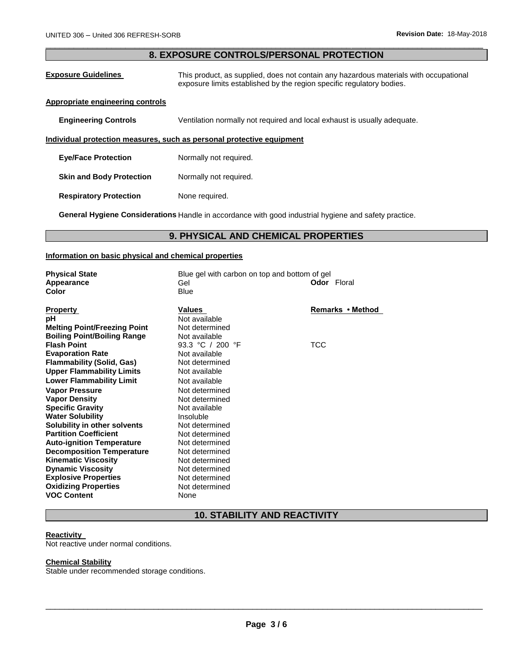## \_\_\_\_\_\_\_\_\_\_\_\_\_\_\_\_\_\_\_\_\_\_\_\_\_\_\_\_\_\_\_\_\_\_\_\_\_\_\_\_\_\_\_\_\_\_\_\_\_\_\_\_\_\_\_\_\_\_\_\_\_\_\_\_\_\_\_\_\_\_\_\_\_\_\_\_\_\_\_\_\_\_\_\_\_\_\_\_\_\_\_\_\_ **8. EXPOSURE CONTROLS/PERSONAL PROTECTION**

| <b>Exposure Guidelines</b>              | This product, as supplied, does not contain any hazardous materials with occupational<br>exposure limits established by the region specific regulatory bodies. |
|-----------------------------------------|----------------------------------------------------------------------------------------------------------------------------------------------------------------|
| <b>Appropriate engineering controls</b> |                                                                                                                                                                |
| <b>Engineering Controls</b>             | Ventilation normally not required and local exhaust is usually adequate.                                                                                       |
|                                         | Individual protection measures, such as personal protective equipment                                                                                          |
| <b>Eye/Face Protection</b>              | Normally not required.                                                                                                                                         |
| <b>Skin and Body Protection</b>         | Normally not required.                                                                                                                                         |
| <b>Respiratory Protection</b>           | None required.                                                                                                                                                 |

**General Hygiene Considerations** Handle in accordance with good industrial hygiene and safety practice.

# **9. PHYSICAL AND CHEMICAL PROPERTIES**

# **Information on basic physical and chemical properties**

| <b>Physical State</b><br>Appearance<br>Color                                                                 | Blue gel with carbon on top and bottom of gel<br>Gel<br><b>Blue</b> | <b>Odor</b> Floral |
|--------------------------------------------------------------------------------------------------------------|---------------------------------------------------------------------|--------------------|
| Property<br>рH<br><b>Melting Point/Freezing Point</b><br><b>Boiling Point/Boiling Range</b>                  | Values<br>Not available<br>Not determined<br>Not available          | Remarks • Method   |
| <b>Flash Point</b><br><b>Evaporation Rate</b><br>Flammability (Solid, Gas)                                   | 93.3 °C / 200 °F<br>Not available<br>Not determined                 | TCC                |
| <b>Upper Flammability Limits</b><br><b>Lower Flammability Limit</b>                                          | Not available<br>Not available                                      |                    |
| <b>Vapor Pressure</b><br><b>Vapor Density</b><br><b>Specific Gravity</b>                                     | Not determined<br>Not determined<br>Not available                   |                    |
| <b>Water Solubility</b><br>Solubility in other solvents<br><b>Partition Coefficient</b>                      | Insoluble<br>Not determined<br>Not determined                       |                    |
| <b>Auto-ignition Temperature</b><br><b>Decomposition Temperature</b><br><b>Kinematic Viscosity</b>           | Not determined<br>Not determined<br>Not determined                  |                    |
| <b>Dynamic Viscosity</b><br><b>Explosive Properties</b><br><b>Oxidizing Properties</b><br><b>VOC Content</b> | Not determined<br>Not determined<br>Not determined<br>None          |                    |

# **10. STABILITY AND REACTIVITY**

#### **Reactivity**

Not reactive under normal conditions.

# **Chemical Stability**

Stable under recommended storage conditions.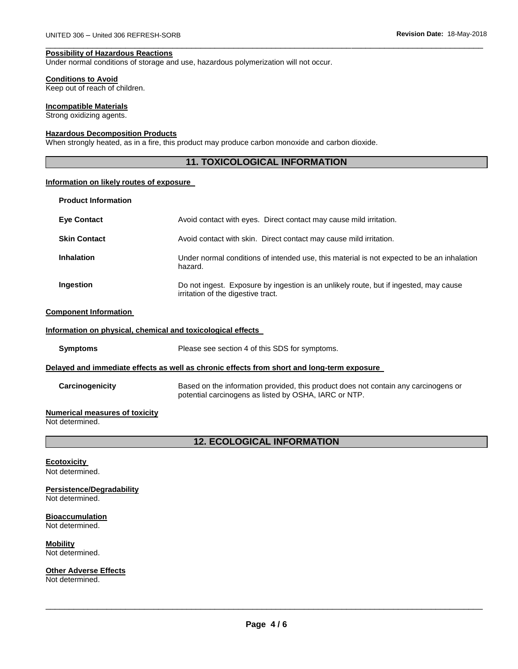#### **Possibility of Hazardous Reactions**

Under normal conditions of storage and use, hazardous polymerization will not occur.

#### **Conditions to Avoid**

Keep out of reach of children.

#### **Incompatible Materials**

Strong oxidizing agents.

# **Hazardous Decomposition Products**

When strongly heated, as in a fire, this product may produce carbon monoxide and carbon dioxide.

# **11. TOXICOLOGICAL INFORMATION**

\_\_\_\_\_\_\_\_\_\_\_\_\_\_\_\_\_\_\_\_\_\_\_\_\_\_\_\_\_\_\_\_\_\_\_\_\_\_\_\_\_\_\_\_\_\_\_\_\_\_\_\_\_\_\_\_\_\_\_\_\_\_\_\_\_\_\_\_\_\_\_\_\_\_\_\_\_\_\_\_\_\_\_\_\_\_\_\_\_\_\_\_\_

### **Information on likely routes of exposure**

| <b>Product Information</b>   |                                                                                                                             |
|------------------------------|-----------------------------------------------------------------------------------------------------------------------------|
| <b>Eye Contact</b>           | Avoid contact with eyes. Direct contact may cause mild irritation.                                                          |
| <b>Skin Contact</b>          | Avoid contact with skin. Direct contact may cause mild irritation.                                                          |
| <b>Inhalation</b>            | Under normal conditions of intended use, this material is not expected to be an inhalation<br>hazard.                       |
| Ingestion                    | Do not ingest. Exposure by ingestion is an unlikely route, but if ingested, may cause<br>irritation of the digestive tract. |
| <b>Component Information</b> |                                                                                                                             |

# **Information on physical, chemical and toxicological effects**

**Symptoms** Please see section 4 of this SDS for symptoms.

#### **Delayed and immediate effects as well as chronic effects from short and long-term exposure**

| <b>Carcinogenicity</b> | Based on the information provided, this product does not contain any carcinogens or<br>potential carcinogens as listed by OSHA, IARC or NTP. |
|------------------------|----------------------------------------------------------------------------------------------------------------------------------------------|
|                        |                                                                                                                                              |

### **Numerical measures of toxicity**

Not determined.

# **12. ECOLOGICAL INFORMATION**

#### **Ecotoxicity**

Not determined.

# **Persistence/Degradability**

Not determined.

# **Bioaccumulation**

Not determined.

# **Mobility**

Not determined.

# **Other Adverse Effects**

Not determined.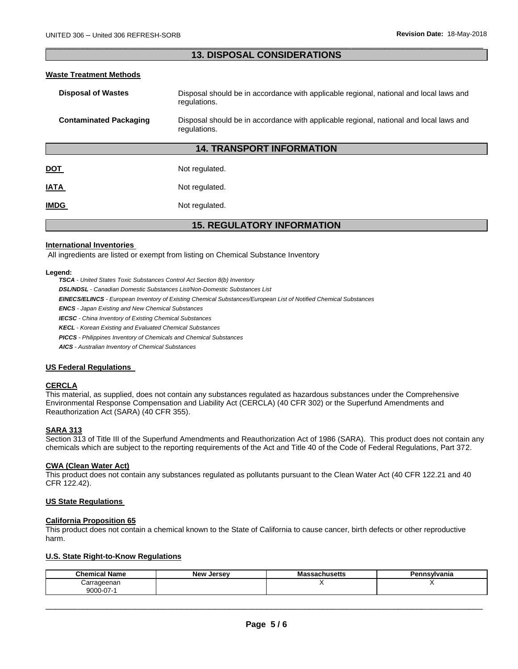### \_\_\_\_\_\_\_\_\_\_\_\_\_\_\_\_\_\_\_\_\_\_\_\_\_\_\_\_\_\_\_\_\_\_\_\_\_\_\_\_\_\_\_\_\_\_\_\_\_\_\_\_\_\_\_\_\_\_\_\_\_\_\_\_\_\_\_\_\_\_\_\_\_\_\_\_\_\_\_\_\_\_\_\_\_\_\_\_\_\_\_\_\_ **13. DISPOSAL CONSIDERATIONS**

### **Waste Treatment Methods**

| <b>Disposal of Wastes</b>         | Disposal should be in accordance with applicable regional, national and local laws and<br>regulations. |  |
|-----------------------------------|--------------------------------------------------------------------------------------------------------|--|
| <b>Contaminated Packaging</b>     | Disposal should be in accordance with applicable regional, national and local laws and<br>regulations. |  |
| <b>14. TRANSPORT INFORMATION</b>  |                                                                                                        |  |
| <u>DOT</u>                        | Not regulated.                                                                                         |  |
| <b>ATAI</b>                       | Not regulated.                                                                                         |  |
| <b>IMDG</b>                       | Not regulated.                                                                                         |  |
| <b>15. REGULATORY INFORMATION</b> |                                                                                                        |  |

#### **International Inventories**

All ingredients are listed or exempt from listing on Chemical Substance Inventory

#### **Legend:**

*TSCA - United States Toxic Substances Control Act Section 8(b) Inventory* 

*DSL/NDSL - Canadian Domestic Substances List/Non-Domestic Substances List* 

*EINECS/ELINCS - European Inventory of Existing Chemical Substances/European List of Notified Chemical Substances* 

*ENCS - Japan Existing and New Chemical Substances* 

*IECSC - China Inventory of Existing Chemical Substances* 

*KECL - Korean Existing and Evaluated Chemical Substances* 

*PICCS - Philippines Inventory of Chemicals and Chemical Substances* 

*AICS - Australian Inventory of Chemical Substances* 

### **US Federal Regulations**

#### **CERCLA**

This material, as supplied, does not contain any substances regulated as hazardous substances under the Comprehensive Environmental Response Compensation and Liability Act (CERCLA) (40 CFR 302) or the Superfund Amendments and Reauthorization Act (SARA) (40 CFR 355).

#### **SARA 313**

Section 313 of Title III of the Superfund Amendments and Reauthorization Act of 1986 (SARA). This product does not contain any chemicals which are subject to the reporting requirements of the Act and Title 40 of the Code of Federal Regulations, Part 372.

#### **CWA (Clean Water Act)**

This product does not contain any substances regulated as pollutants pursuant to the Clean Water Act (40 CFR 122.21 and 40 CFR 122.42).

### **US State Regulations**

#### **California Proposition 65**

This product does not contain a chemical known to the State of California to cause cancer, birth defects or other reproductive harm.

### **U.S. State Right-to-Know Regulations**

| <b>Chemical Name</b> | <b>New Jersey</b> | Massachusetts | Pennsylvania |
|----------------------|-------------------|---------------|--------------|
| Carrageenan          |                   |               |              |
| $9000 - 07 - 1$      |                   |               |              |